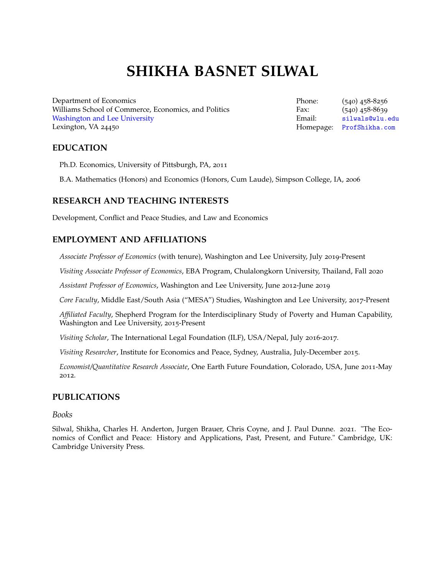# **SHIKHA BASNET SILWAL**

Department of Economics Williams School of Commerce, Economics, and Politics [Washington and Lee University](http://www.wlu.edu/x38898.xml) Lexington, VA 24450

Phone: (540) 458-8256 Fax: (540) 458-8639 Email: [silwals@wlu.edu](mailto:silwals@wlu.edu) Homepage: [ProfShikha.com](https://profshikha.com)

# **EDUCATION**

Ph.D. Economics, University of Pittsburgh, PA, 2011

B.A. Mathematics (Honors) and Economics (Honors, Cum Laude), Simpson College, IA, 2006

# **RESEARCH AND TEACHING INTERESTS**

Development, Conflict and Peace Studies, and Law and Economics

# **EMPLOYMENT AND AFFILIATIONS**

*Associate Professor of Economics* (with tenure), Washington and Lee University, July 2019-Present

*Visiting Associate Professor of Economics*, EBA Program, Chulalongkorn University, Thailand, Fall 2020

*Assistant Professor of Economics*, Washington and Lee University, June 2012-June 2019

*Core Faculty*, Middle East/South Asia ("MESA") Studies, Washington and Lee University, 2017-Present

*Affiliated Faculty*, Shepherd Program for the Interdisciplinary Study of Poverty and Human Capability, Washington and Lee University, 2015-Present

*Visiting Scholar*, The International Legal Foundation (ILF), USA/Nepal, July 2016-2017.

*Visiting Researcher*, Institute for Economics and Peace, Sydney, Australia, July-December 2015.

*Economist/Quantitative Research Associate*, One Earth Future Foundation, Colorado, USA, June 2011-May 2012.

## **PUBLICATIONS**

#### *Books*

Silwal, Shikha, Charles H. Anderton, Jurgen Brauer, Chris Coyne, and J. Paul Dunne. 2021. "The Economics of Conflict and Peace: History and Applications, Past, Present, and Future." Cambridge, UK: Cambridge University Press.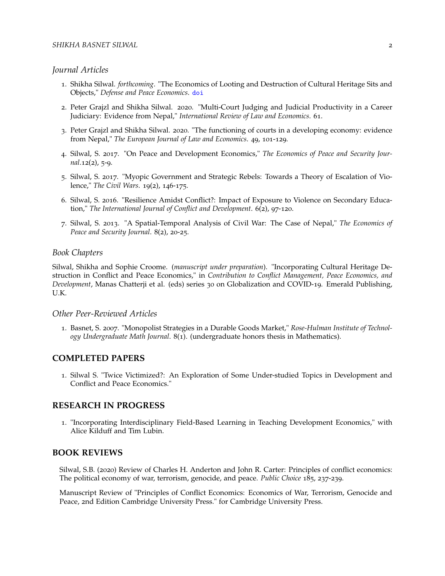#### *Journal Articles*

- 1. Shikha Silwal. *forthcoming*. "The Economics of Looting and Destruction of Cultural Heritage Sits and Objects," *Defense and Peace Economics*. [doi](https://doi.org/10.1080/10242694.2021.2007638)
- 2. Peter Grajzl and Shikha Silwal. 2020. "Multi-Court Judging and Judicial Productivity in a Career Judiciary: Evidence from Nepal," *International Review of Law and Economics*. 61.
- 3. Peter Grajzl and Shikha Silwal. 2020. "The functioning of courts in a developing economy: evidence from Nepal," *The European Journal of Law and Economics*. 49, 101-129.
- 4. Silwal, S. 2017. "On Peace and Development Economics," *The Economics of Peace and Security Journal*.12(2), 5-9.
- 5. Silwal, S. 2017. "Myopic Government and Strategic Rebels: Towards a Theory of Escalation of Violence," *The Civil Wars*. 19(2), 146-175.
- 6. Silwal, S. 2016. "Resilience Amidst Conflict?: Impact of Exposure to Violence on Secondary Education," *The International Journal of Conflict and Development*. 6(2), 97-120.
- 7. Silwal, S. 2013. "A Spatial-Temporal Analysis of Civil War: The Case of Nepal," *The Economics of Peace and Security Journal*. 8(2), 20-25.

#### *Book Chapters*

Silwal, Shikha and Sophie Croome. (*manuscript under preparation*). "Incorporating Cultural Heritage Destruction in Conflict and Peace Economics," in *Contribution to Conflict Management, Peace Economics, and Development*, Manas Chatterji et al. (eds) series 30 on Globalization and COVID-19. Emerald Publishing, U.K.

#### *Other Peer-Reviewed Articles*

1. Basnet, S. 2007. "Monopolist Strategies in a Durable Goods Market," *Rose-Hulman Institute of Technology Undergraduate Math Journal*. 8(1). (undergraduate honors thesis in Mathematics).

#### **COMPLETED PAPERS**

1. Silwal S. "Twice Victimized?: An Exploration of Some Under-studied Topics in Development and Conflict and Peace Economics."

#### **RESEARCH IN PROGRESS**

1. "Incorporating Interdisciplinary Field-Based Learning in Teaching Development Economics," with Alice Kilduff and Tim Lubin.

# **BOOK REVIEWS**

Silwal, S.B. (2020) Review of Charles H. Anderton and John R. Carter: Principles of conflict economics: The political economy of war, terrorism, genocide, and peace. *Public Choice* 185, 237-239.

Manuscript Review of "Principles of Conflict Economics: Economics of War, Terrorism, Genocide and Peace, 2nd Edition Cambridge University Press." for Cambridge University Press.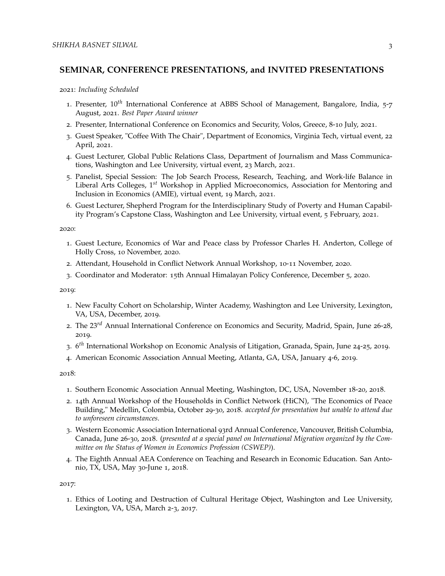## **SEMINAR, CONFERENCE PRESENTATIONS, and INVITED PRESENTATIONS**

2021: *Including Scheduled*

- 1. Presenter, 10*th* International Conference at ABBS School of Management, Bangalore, India, 5-7 August, 2021. *Best Paper Award winner*
- 2. Presenter, International Conference on Economics and Security, Volos, Greece, 8-10 July, 2021.
- 3. Guest Speaker, "Coffee With The Chair", Department of Economics, Virginia Tech, virtual event, 22 April, 2021.
- 4. Guest Lecturer, Global Public Relations Class, Department of Journalism and Mass Communications, Washington and Lee University, virtual event, 23 March, 2021.
- 5. Panelist, Special Session: The Job Search Process, Research, Teaching, and Work-life Balance in Liberal Arts Colleges, 1*st* Workshop in Applied Microeconomics, Association for Mentoring and Inclusion in Economics (AMIE), virtual event, 19 March, 2021.
- 6. Guest Lecturer, Shepherd Program for the Interdisciplinary Study of Poverty and Human Capability Program's Capstone Class, Washington and Lee University, virtual event, 5 February, 2021.

2020:

- 1. Guest Lecture, Economics of War and Peace class by Professor Charles H. Anderton, College of Holly Cross, 10 November, 2020.
- 2. Attendant, Household in Conflict Network Annual Workshop, 10-11 November, 2020.
- 3. Coordinator and Moderator: 15th Annual Himalayan Policy Conference, December 5, 2020.

2019:

- 1. New Faculty Cohort on Scholarship, Winter Academy, Washington and Lee University, Lexington, VA, USA, December, 2019.
- 2. The 23*rd* Annual International Conference on Economics and Security, Madrid, Spain, June 26-28, 2019.
- 3. 6 *th* International Workshop on Economic Analysis of Litigation, Granada, Spain, June 24-25, 2019.
- 4. American Economic Association Annual Meeting, Atlanta, GA, USA, January 4-6, 2019.

2018:

- 1. Southern Economic Association Annual Meeting, Washington, DC, USA, November 18-20, 2018.
- 2. 14th Annual Workshop of the Households in Conflict Network (HiCN), "The Economics of Peace Building," Medellin, Colombia, October 29-30, 2018. *accepted for presentation but unable to attend due to unforeseen circumstances*.
- 3. Western Economic Association International 93rd Annual Conference, Vancouver, British Columbia, Canada, June 26-30, 2018. (*presented at a special panel on International Migration organized by the Committee on the Status of Women in Economics Profession (CSWEP)*).
- 4. The Eighth Annual AEA Conference on Teaching and Research in Economic Education. San Antonio, TX, USA, May 30-June 1, 2018.

2017:

1. Ethics of Looting and Destruction of Cultural Heritage Object, Washington and Lee University, Lexington, VA, USA, March 2-3, 2017.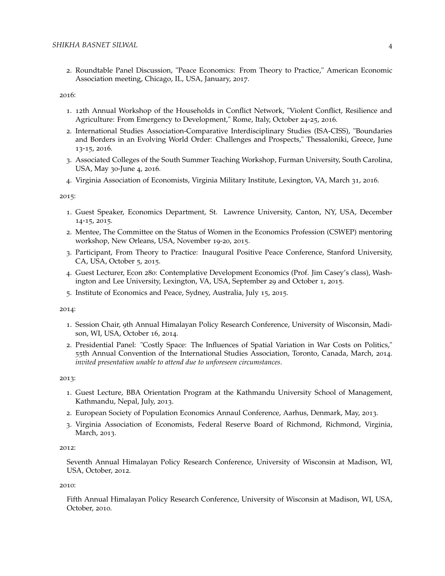2. Roundtable Panel Discussion, "Peace Economics: From Theory to Practice," American Economic Association meeting, Chicago, IL, USA, January, 2017.

2016:

- 1. 12th Annual Workshop of the Households in Conflict Network, "Violent Conflict, Resilience and Agriculture: From Emergency to Development," Rome, Italy, October 24-25, 2016.
- 2. International Studies Association-Comparative Interdisciplinary Studies (ISA-CISS), "Boundaries and Borders in an Evolving World Order: Challenges and Prospects," Thessaloniki, Greece, June 13-15, 2016.
- 3. Associated Colleges of the South Summer Teaching Workshop, Furman University, South Carolina, USA, May 30-June 4, 2016.
- 4. Virginia Association of Economists, Virginia Military Institute, Lexington, VA, March 31, 2016.

2015:

- 1. Guest Speaker, Economics Department, St. Lawrence University, Canton, NY, USA, December 14-15, 2015.
- 2. Mentee, The Committee on the Status of Women in the Economics Profession (CSWEP) mentoring workshop, New Orleans, USA, November 19-20, 2015.
- 3. Participant, From Theory to Practice: Inaugural Positive Peace Conference, Stanford University, CA, USA, October 5, 2015.
- 4. Guest Lecturer, Econ 280: Contemplative Development Economics (Prof. Jim Casey's class), Washington and Lee University, Lexington, VA, USA, September 29 and October 1, 2015.
- 5. Institute of Economics and Peace, Sydney, Australia, July 15, 2015.

2014:

- 1. Session Chair, 9th Annual Himalayan Policy Research Conference, University of Wisconsin, Madison, WI, USA, October 16, 2014.
- 2. Presidential Panel: "Costly Space: The Influences of Spatial Variation in War Costs on Politics," 55th Annual Convention of the International Studies Association, Toronto, Canada, March, 2014. *invited presentation unable to attend due to unforeseen circumstances*.

2013:

- 1. Guest Lecture, BBA Orientation Program at the Kathmandu University School of Management, Kathmandu, Nepal, July, 2013.
- 2. European Society of Population Economics Annaul Conference, Aarhus, Denmark, May, 2013.
- 3. Virginia Association of Economists, Federal Reserve Board of Richmond, Richmond, Virginia, March, 2013.

2012:

Seventh Annual Himalayan Policy Research Conference, University of Wisconsin at Madison, WI, USA, October, 2012.

2010:

Fifth Annual Himalayan Policy Research Conference, University of Wisconsin at Madison, WI, USA, October, 2010.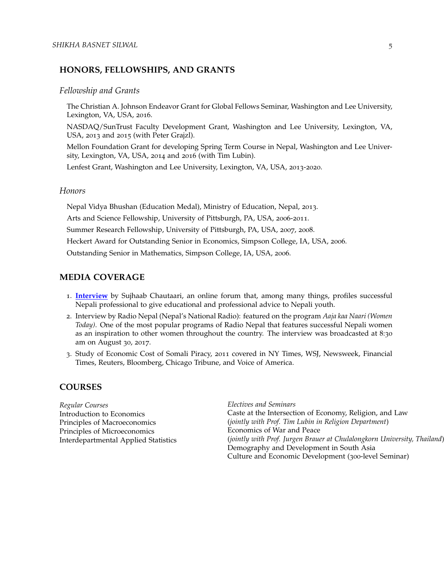# **HONORS, FELLOWSHIPS, AND GRANTS**

#### *Fellowship and Grants*

The Christian A. Johnson Endeavor Grant for Global Fellows Seminar, Washington and Lee University, Lexington, VA, USA, 2016.

NASDAQ/SunTrust Faculty Development Grant, Washington and Lee University, Lexington, VA, USA, 2013 and 2015 (with Peter Grajzl).

Mellon Foundation Grant for developing Spring Term Course in Nepal, Washington and Lee University, Lexington, VA, USA, 2014 and 2016 (with Tim Lubin).

Lenfest Grant, Washington and Lee University, Lexington, VA, USA, 2013-2020.

#### *Honors*

Nepal Vidya Bhushan (Education Medal), Ministry of Education, Nepal, 2013. Arts and Science Fellowship, University of Pittsburgh, PA, USA, 2006-2011. Summer Research Fellowship, University of Pittsburgh, PA, USA, 2007, 2008. Heckert Award for Outstanding Senior in Economics, Simpson College, IA, USA, 2006. Outstanding Senior in Mathematics, Simpson College, IA, USA, 2006.

## **MEDIA COVERAGE**

- 1. **[Interview](https://chautaari.com/shikha-basnet-silwal-interview/)** by Sujhaab Chautaari, an online forum that, among many things, profiles successful Nepali professional to give educational and professional advice to Nepali youth.
- 2. Interview by Radio Nepal (Nepal's National Radio): featured on the program *Aaja kaa Naari (Women Today)*. One of the most popular programs of Radio Nepal that features successful Nepali women as an inspiration to other women throughout the country. The interview was broadcasted at 8:30 am on August 30, 2017.
- 3. Study of Economic Cost of Somali Piracy, 2011 covered in NY Times, WSJ, Newsweek, Financial Times, Reuters, Bloomberg, Chicago Tribune, and Voice of America.

#### **COURSES**

*Regular Courses* Introduction to Economics Principles of Macroeconomics Principles of Microeconomics Interdepartmental Applied Statistics *Electives and Seminars* Caste at the Intersection of Economy, Religion, and Law (*jointly with Prof. Tim Lubin in Religion Department*) Economics of War and Peace (*jointly with Prof. Jurgen Brauer at Chulalongkorn University, Thailand*) Demography and Development in South Asia Culture and Economic Development (300-level Seminar)